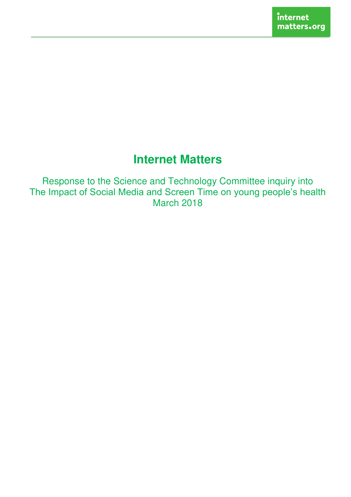# **Internet Matters**

Response to the Science and Technology Committee inquiry into The Impact of Social Media and Screen Time on young people's health March 2018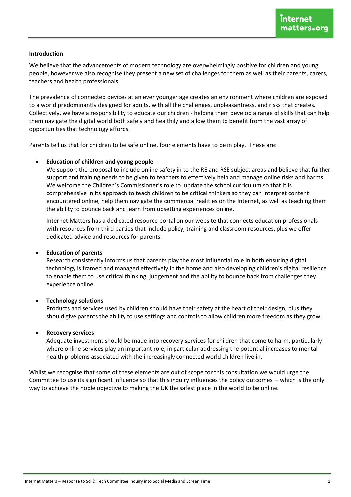#### **Introduction**

We believe that the advancements of modern technology are overwhelmingly positive for children and young people, however we also recognise they present a new set of challenges for them as well as their parents, carers, teachers and health professionals.

The prevalence of connected devices at an ever younger age creates an environment where children are exposed to a world predominantly designed for adults, with all the challenges, unpleasantness, and risks that creates. Collectively, we have a responsibility to educate our children - helping them develop a range of skills that can help them navigate the digital world both safely and healthily and allow them to benefit from the vast array of opportunities that technology affords.

Parents tell us that for children to be safe online, four elements have to be in play. These are:

#### • **Education of children and young people**

We support the proposal to include online safety in to the RE and RSE subject areas and believe that further support and training needs to be given to teachers to effectively help and manage online risks and harms. We welcome the Children's Commissioner's role to update the school curriculum so that it is comprehensive in its approach to teach children to be critical thinkers so they can interpret content encountered online, help them navigate the commercial realities on the Internet, as well as teaching them the ability to bounce back and learn from upsetting experiences online.

Internet Matters has a dedicated resource portal on our website that connects education professionals with resources from third parties that include policy, training and classroom resources, plus we offer dedicated advice and resources for parents.

#### • **Education of parents**

Research consistently informs us that parents play the most influential role in both ensuring digital technology is framed and managed effectively in the home and also developing children's digital resilience to enable them to use critical thinking, judgement and the ability to bounce back from challenges they experience online.

#### • **Technology solutions**

Products and services used by children should have their safety at the heart of their design, plus they should give parents the ability to use settings and controls to allow children more freedom as they grow.

#### • **Recovery services**

Adequate investment should be made into recovery services for children that come to harm, particularly where online services play an important role, in particular addressing the potential increases to mental health problems associated with the increasingly connected world children live in.

Whilst we recognise that some of these elements are out of scope for this consultation we would urge the Committee to use its significant influence so that this inquiry influences the policy outcomes – which is the only way to achieve the noble objective to making the UK the safest place in the world to be online.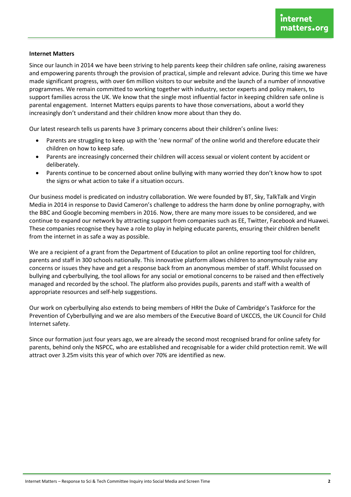#### **Internet Matters**

Since our launch in 2014 we have been striving to help parents keep their children safe online, raising awareness and empowering parents through the provision of practical, simple and relevant advice. During this time we have made significant progress, with over 6m million visitors to our website and the launch of a number of innovative programmes. We remain committed to working together with industry, sector experts and policy makers, to support families across the UK. We know that the single most influential factor in keeping children safe online is parental engagement. Internet Matters equips parents to have those conversations, about a world they increasingly don't understand and their children know more about than they do.

Our latest research tells us parents have 3 primary concerns about their children's online lives:

- Parents are struggling to keep up with the 'new normal' of the online world and therefore educate their children on how to keep safe.
- Parents are increasingly concerned their children will access sexual or violent content by accident or deliberately.
- Parents continue to be concerned about online bullying with many worried they don't know how to spot the signs or what action to take if a situation occurs.

Our business model is predicated on industry collaboration. We were founded by BT, Sky, TalkTalk and Virgin Media in 2014 in response to David Cameron's challenge to address the harm done by online pornography, with the BBC and Google becoming members in 2016. Now, there are many more issues to be considered, and we continue to expand our network by attracting support from companies such as EE, Twitter, Facebook and Huawei. These companies recognise they have a role to play in helping educate parents, ensuring their children benefit from the internet in as safe a way as possible.

We are a recipient of a grant from the Department of Education to pilot an online reporting tool for children, parents and staff in 300 schools nationally. This innovative platform allows children to anonymously raise any concerns or issues they have and get a response back from an anonymous member of staff. Whilst focussed on bullying and cyberbullying, the tool allows for any social or emotional concerns to be raised and then effectively managed and recorded by the school. The platform also provides pupils, parents and staff with a wealth of appropriate resources and self-help suggestions.

Our work on cyberbullying also extends to being members of HRH the Duke of Cambridge's Taskforce for the Prevention of Cyberbullying and we are also members of the Executive Board of UKCCIS, the UK Council for Child Internet safety.

Since our formation just four years ago, we are already the second most recognised brand for online safety for parents, behind only the NSPCC, who are established and recognisable for a wider child protection remit. We will attract over 3.25m visits this year of which over 70% are identified as new.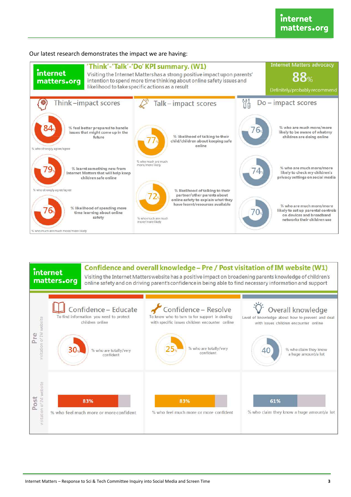

# Confidence and overall knowledge - Pre / Post visitation of IM website (W1)

internet matters.org Visiting the Internet Matters website has a positive impact on broadening parents knowledge of children's

online safety and on driving parent's confidence in being able to find necessary information and support



# Our latest research demonstrates the impact we are having: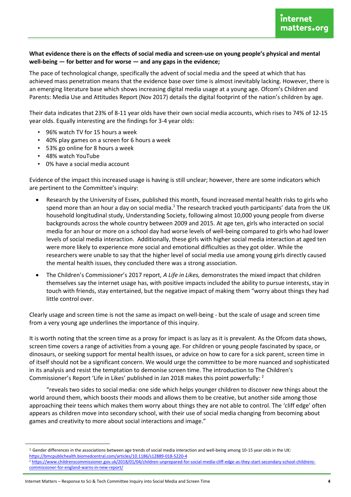## What evidence there is on the effects of social media and screen-use on young people's physical and mental well-being  $-$  for better and for worse  $-$  and any gaps in the evidence;

The pace of technological change, specifically the advent of social media and the speed at which that has achieved mass penetration means that the evidence base over time is almost inevitably lacking. However, there is an emerging literature base which shows increasing digital media usage at a young age. Ofcom's Children and Parents: Media Use and Attitudes Report (Nov 2017) details the digital footprint of the nation's children by age.

Their data indicates that 23% of 8-11 year olds have their own social media accounts, which rises to 74% of 12-15 year olds. Equally interesting are the findings for 3-4 year olds:

- 96% watch TV for 15 hours a week
- 40% play games on a screen for 6 hours a week
- 53% go online for 8 hours a week
- 48% watch YouTube
- 0% have a social media account

Evidence of the impact this increased usage is having is still unclear; however, there are some indicators which are pertinent to the Committee's inquiry:

- Research by the University of Essex, published this month, found increased mental health risks to girls who spend more than an hour a day on social media.<sup>1</sup> The research tracked youth participants' data from the UK household longitudinal study, Understanding Society, following almost 10,000 young people from diverse backgrounds across the whole country between 2009 and 2015. At age ten, girls who interacted on social media for an hour or more on a school day had worse levels of well-being compared to girls who had lower levels of social media interaction. Additionally, these girls with higher social media interaction at aged ten were more likely to experience more social and emotional difficulties as they got older. While the researchers were unable to say that the higher level of social media use among young girls directly caused the mental health issues, they concluded there was a strong association.
- The Children's Commissioner's 2017 report, A Life in Likes, demonstrates the mixed impact that children themselves say the internet usage has, with positive impacts included the ability to pursue interests, stay in touch with friends, stay entertained, but the negative impact of making them "worry about things they had little control over.

Clearly usage and screen time is not the same as impact on well-being - but the scale of usage and screen time from a very young age underlines the importance of this inquiry.

It is worth noting that the screen time as a proxy for impact is as lazy as it is prevalent. As the Ofcom data shows, screen time covers a range of activities from a young age. For children or young people fascinated by space, or dinosaurs, or seeking support for mental health issues, or advice on how to care for a sick parent, screen time in of itself should not be a significant concern. We would urge the committee to be more nuanced and sophisticated in its analysis and resist the temptation to demonise screen time. The introduction to The Children's Commissioner's Report 'Life in Likes' published in Jan 2018 makes this point powerfully: <sup>2</sup>

"reveals two sides to social media: one side which helps younger children to discover new things about the world around them, which boosts their moods and allows them to be creative, but another side among those approaching their teens which makes them worry about things they are not able to control. The 'cliff edge' often appears as children move into secondary school, with their use of social media changing from becoming about games and creativity to more about social interactions and image."

<sup>&</sup>lt;sup>1</sup> Gender differences in the associations between age trends of social media interaction and well-being among 10-15 year olds in the UK:

https://bmcpublichealth.biomedcentral.com/articles/10.1186/s12889-018-5220-4

<sup>&</sup>lt;sup>2</sup> https://www.childrenscommissioner.gov.uk/2018/01/04/children-unprepared-for-social-media-cliff-edge-as-they-start-secondary-school-childrenscommissioner-for-england-warns-in-new-report/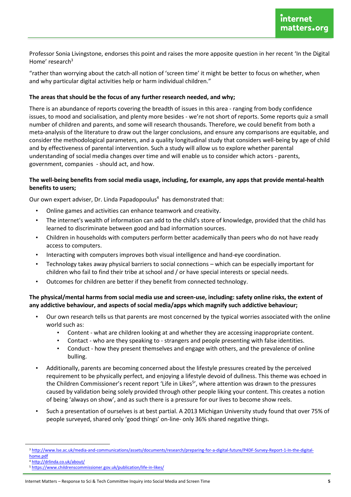Professor Sonia Livingstone, endorses this point and raises the more apposite question in her recent 'In the Digital Home' research $3$ 

"rather than worrying about the catch-all notion of 'screen time' it might be better to focus on whether, when and why particular digital activities help or harm individual children.<sup>"</sup>

### **The areas that should be the focus of any further research needed, and why;**

There is an abundance of reports covering the breadth of issues in this area - ranging from body confidence issues, to mood and socialisation, and plenty more besides - we're not short of reports. Some reports quiz a small number of children and parents, and some will research thousands. Therefore, we could benefit from both a meta-analysis of the literature to draw out the larger conclusions, and ensure any comparisons are equitable, and consider the methodological parameters, and a quality longitudinal study that considers well-being by age of child and by effectiveness of parental intervention. Such a study will allow us to explore whether parental understanding of social media changes over time and will enable us to consider which actors - parents, government, companies - should act, and how.

## **The well-being benefits from social media usage, including, for example, any apps that provide mental-health benefits to users;**

Our own expert adviser, Dr. Linda Papadopoulus<sup>4</sup> has demonstrated that:

- Online games and activities can enhance teamwork and creativity.
- The internet's wealth of information can add to the child's store of knowledge, provided that the child has learned to discriminate between good and bad information sources.
- Children in households with computers perform better academically than peers who do not have ready access to computers.
- Interacting with computers improves both visual intelligence and hand-eye coordination.
- Technology takes away physical barriers to social connections which can be especially important for children who fail to find their tribe at school and / or have special interests or special needs.
- Outcomes for children are better if they benefit from connected technology.

### **The physical/mental harms from social media use and screen-use, including: safety online risks, the extent of any addictive behaviour, and aspects of social media/apps which magnify such addictive behaviour;**

- Our own research tells us that parents are most concerned by the typical worries associated with the online world such as:
	- Content what are children looking at and whether they are accessing inappropriate content.
	- Contact who are they speaking to strangers and people presenting with false identities.
	- Conduct how they present themselves and engage with others, and the prevalence of online bulling.
- Additionally, parents are becoming concerned about the lifestyle pressures created by the perceived requirement to be physically perfect, and enjoying a lifestyle devoid of dullness. This theme was echoed in the Children Commissioner's recent report 'Life in Likes<sup>5</sup>', where attention was drawn to the pressures caused by validation being solely provided through other people liking your content. This creates a notion of being 'always on show', and as such there is a pressure for our lives to become show reels.
- Such a presentation of ourselves is at best partial. A 2013 Michigan University study found that over 75% of people surveyed, shared only 'good things' on-line- only 36% shared negative things.

 $\overline{a}$ 

<sup>3</sup> [http://www.lse.ac.uk/media-and-communications/assets/documents/research/preparing-for-a-digital-future/P4DF-Survey-Report-1-In-the-digital](http://www.lse.ac.uk/media-and-communications/assets/documents/research/preparing-for-a-digital-future/P4DF-Survey-Report-1-In-the-digital-home.pdf)[home.pdf](http://www.lse.ac.uk/media-and-communications/assets/documents/research/preparing-for-a-digital-future/P4DF-Survey-Report-1-In-the-digital-home.pdf) 

<http://drlinda.co.uk/about/>

<sup>5</sup> <https://www.childrenscommissioner.gov.uk/publication/life-in-likes/>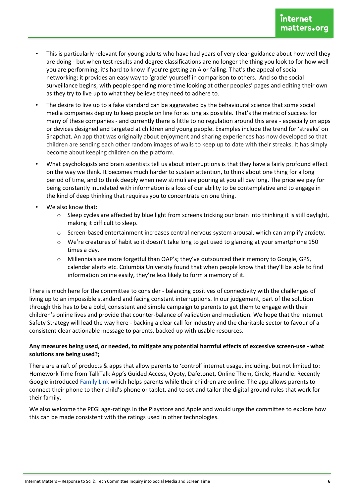- This is particularly relevant for young adults who have had years of very clear guidance about how well they are doing - but when test results and degree classifications are no longer the thing you look to for how well you are performing, it's hard to know if you're getting an A or failing. That's the appeal of social networking; it provides an easy way to 'grade' yourself in comparison to others. And so the social surveillance begins, with people spending more time looking at other peoples' pages and editing their own as they try to live up to what they believe they need to adhere to.
- The desire to live up to a fake standard can be aggravated by the behavioural science that some social media companies deploy to keep people on line for as long as possible. That's the metric of success for many of these companies - and currently there is little to no regulation around this area - especially on apps or devices designed and targeted at children and young people. Examples include the trend for 'streaks' on Snapchat. An app that was originally about enjoyment and sharing experiences has now developed so that children are sending each other random images of walls to keep up to date with their streaks. It has simply become about keeping children on the platform.
- What psychologists and brain scientists tell us about interruptions is that they have a fairly profound effect on the way we think. It becomes much harder to sustain attention, to think about one thing for a long period of time, and to think deeply when new stimuli are pouring at you all day long. The price we pay for being constantly inundated with information is a loss of our ability to be contemplative and to engage in the kind of deep thinking that requires you to concentrate on one thing.
- We also know that:
	- Sleep cycles are affected by blue light from screens tricking our brain into thinking it is still daylight, making it difficult to sleep.
	- Screen-based entertainment increases central nervous system arousal, which can amplify anxiety.
	- We're creatures of habit so it doesn't take long to get used to glancing at your smartphone 150 times a day.
	- o Millennials are more forgetful than OAP's; they've outsourced their memory to Google, GPS, calendar alerts etc. Columbia University found that when people know that they'll be able to find information online easily, they're less likely to form a memory of it.

There is much here for the committee to consider - balancing positives of connectivity with the challenges of living up to an impossible standard and facing constant interruptions. In our judgement, part of the solution through this has to be a bold, consistent and simple campaign to parents to get them to engage with their children's online lives and provide that counter-balance of validation and mediation. We hope that the Internet Safety Strategy will lead the way here - backing a clear call for industry and the charitable sector to favour of a consistent clear actionable message to parents, backed up with usable resources.

## Any measures being used, or needed, to mitigate any potential harmful effects of excessive screen-use - what solutions are being used?;

There are a raft of products & apps that allow parents to 'control' internet usage, including, but not limited to: Homework Time from TalkTalk App's Guided Access, Oyoty, Dafetonet, Online Them, Circle, Haandle. Recently Google introduced Family Link which helps parents while their children are online. The app allows parents to connect their phone to their child's phone or tablet, and to set and tailor the digital ground rules that work for their family.

We also welcome the PEGI age-ratings in the Playstore and Apple and would urge the committee to explore how this can be made consistent with the ratings used in other technologies.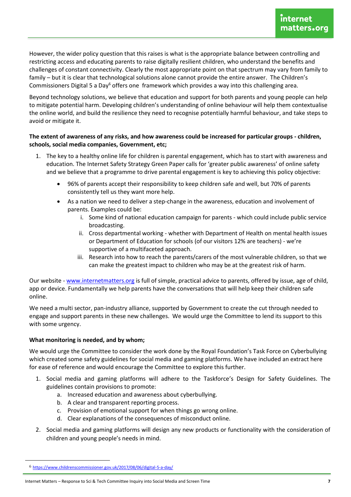However, the wider policy question that this raises is what is the appropriate balance between controlling and restricting access and educating parents to raise digitally resilient children, who understand the benefits and challenges of constant connectivity. Clearly the most appropriate point on that spectrum may vary from family to family – but it is clear that technological solutions alone cannot provide the entire answer. The Children's Commissioners Digital 5 a Day<sup>6</sup> offers one framework which provides a way into this challenging area.

Beyond technology solutions, we believe that education and support for both parents and young people can help to mitigate potential harm. Developing children's understanding of online behaviour will help them contextualise the online world, and build the resilience they need to recognise potentially harmful behaviour, and take steps to avoid or mitigate it.

## The extent of awareness of any risks, and how awareness could be increased for particular groups - children, schools, social media companies, Government, etc;

- 1. The key to a healthy online life for children is parental engagement, which has to start with awareness and education. The Internet Safety Strategy Green Paper calls for 'greater public awareness' of online safety and we believe that a programme to drive parental engagement is key to achieving this policy objective:
	- 96% of parents accept their responsibility to keep children safe and well, but 70% of parents consistently tell us they want more help.
	- As a nation we need to deliver a step-change in the awareness, education and involvement of parents. Examples could be:
		- i. Some kind of national education campaign for parents which could include public service broadcasting.
		- ii. Cross departmental working whether with Department of Health on mental health issues or Department of Education for schools (of our visitors 12% are teachers) - we're supportive of a multifaceted approach.
		- iii. Research into how to reach the parents/carers of the most vulnerable children, so that we can make the greatest impact to children who may be at the greatest risk of harm.

Our website - www.internetmatters.org is full of simple, practical advice to parents, offered by issue, age of child, app or device. Fundamentally we help parents have the conversations that will help keep their children safe online.

We need a multi sector, pan-industry alliance, supported by Government to create the cut through needed to engage and support parents in these new challenges. We would urge the Committee to lend its support to this with some urgency.

## What monitoring is needed, and by whom;

We would urge the Committee to consider the work done by the Royal Foundation's Task Force on Cyberbullying which created some safety guidelines for social media and gaming platforms. We have included an extract here for ease of reference and would encourage the Committee to explore this further.

- 1. Social media and gaming platforms will adhere to the Taskforce's Design for Safety Guidelines. The guidelines contain provisions to promote:
	- a. Increased education and awareness about cyberbullying.
	- b. A clear and transparent reporting process.
	- c. Provision of emotional support for when things go wrong online.
	- d. Clear explanations of the consequences of misconduct online.
- 2. Social media and gaming platforms will design any new products or functionality with the consideration of children and young people's needs in mind.

<sup>&</sup>lt;sup>6</sup> https://www.childrenscommissioner.gov.uk/2017/08/06/digital-5-a-day/

Internet Matters - Response to Sci & Tech Committee Inquiry into Social Media and Screen Time